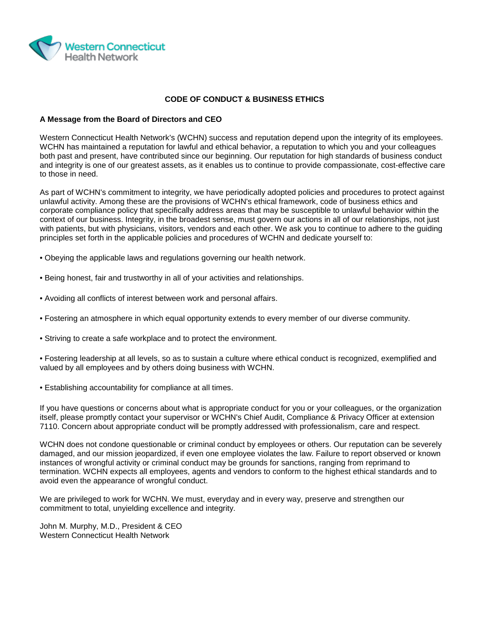

#### **CODE OF CONDUCT & BUSINESS ETHICS**

#### **A Message from the Board of Directors and CEO**

Western Connecticut Health Network's (WCHN) success and reputation depend upon the integrity of its employees. WCHN has maintained a reputation for lawful and ethical behavior, a reputation to which you and your colleagues both past and present, have contributed since our beginning. Our reputation for high standards of business conduct and integrity is one of our greatest assets, as it enables us to continue to provide compassionate, cost-effective care to those in need.

As part of WCHN's commitment to integrity, we have periodically adopted policies and procedures to protect against unlawful activity. Among these are the provisions of WCHN's ethical framework, code of business ethics and corporate compliance policy that specifically address areas that may be susceptible to unlawful behavior within the context of our business. Integrity, in the broadest sense, must govern our actions in all of our relationships, not just with patients, but with physicians, visitors, vendors and each other. We ask you to continue to adhere to the guiding principles set forth in the applicable policies and procedures of WCHN and dedicate yourself to:

- Obeying the applicable laws and regulations governing our health network.
- Being honest, fair and trustworthy in all of your activities and relationships.
- Avoiding all conflicts of interest between work and personal affairs.
- Fostering an atmosphere in which equal opportunity extends to every member of our diverse community.
- Striving to create a safe workplace and to protect the environment.

• Fostering leadership at all levels, so as to sustain a culture where ethical conduct is recognized, exemplified and valued by all employees and by others doing business with WCHN.

• Establishing accountability for compliance at all times.

If you have questions or concerns about what is appropriate conduct for you or your colleagues, or the organization itself, please promptly contact your supervisor or WCHN's Chief Audit, Compliance & Privacy Officer at extension 7110. Concern about appropriate conduct will be promptly addressed with professionalism, care and respect.

WCHN does not condone questionable or criminal conduct by employees or others. Our reputation can be severely damaged, and our mission jeopardized, if even one employee violates the law. Failure to report observed or known instances of wrongful activity or criminal conduct may be grounds for sanctions, ranging from reprimand to termination. WCHN expects all employees, agents and vendors to conform to the highest ethical standards and to avoid even the appearance of wrongful conduct.

We are privileged to work for WCHN. We must, everyday and in every way, preserve and strengthen our commitment to total, unyielding excellence and integrity.

John M. Murphy, M.D., President & CEO Western Connecticut Health Network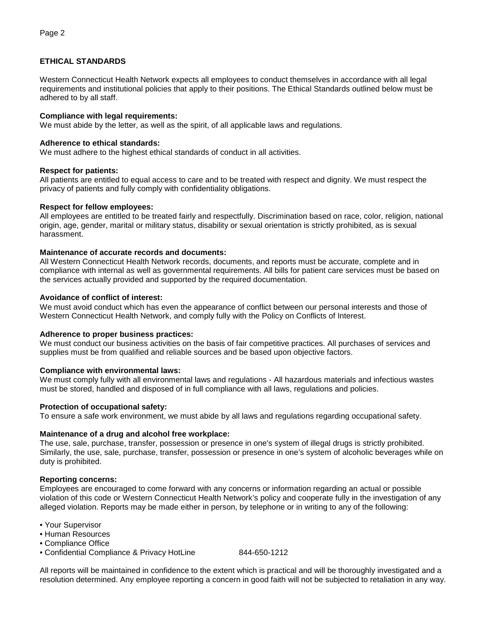# **ETHICAL STANDARDS**

Western Connecticut Health Network expects all employees to conduct themselves in accordance with all legal requirements and institutional policies that apply to their positions. The Ethical Standards outlined below must be adhered to by all staff.

## **Compliance with legal requirements:**

We must abide by the letter, as well as the spirit, of all applicable laws and regulations.

#### **Adherence to ethical standards:**

We must adhere to the highest ethical standards of conduct in all activities.

### **Respect for patients:**

All patients are entitled to equal access to care and to be treated with respect and dignity. We must respect the privacy of patients and fully comply with confidentiality obligations.

### **Respect for fellow employees:**

All employees are entitled to be treated fairly and respectfully. Discrimination based on race, color, religion, national origin, age, gender, marital or military status, disability or sexual orientation is strictly prohibited, as is sexual harassment.

### **Maintenance of accurate records and documents:**

All Western Connecticut Health Network records, documents, and reports must be accurate, complete and in compliance with internal as well as governmental requirements. All bills for patient care services must be based on the services actually provided and supported by the required documentation.

### **Avoidance of conflict of interest:**

We must avoid conduct which has even the appearance of conflict between our personal interests and those of Western Connecticut Health Network, and comply fully with the Policy on Conflicts of Interest.

#### **Adherence to proper business practices:**

We must conduct our business activities on the basis of fair competitive practices. All purchases of services and supplies must be from qualified and reliable sources and be based upon objective factors.

#### **Compliance with environmental laws:**

We must comply fully with all environmental laws and regulations - All hazardous materials and infectious wastes must be stored, handled and disposed of in full compliance with all laws, regulations and policies.

#### **Protection of occupational safety:**

To ensure a safe work environment, we must abide by all laws and regulations regarding occupational safety.

#### **Maintenance of a drug and alcohol free workplace:**

The use, sale, purchase, transfer, possession or presence in one's system of illegal drugs is strictly prohibited. Similarly, the use, sale, purchase, transfer, possession or presence in one's system of alcoholic beverages while on duty is prohibited.

## **Reporting concerns:**

Employees are encouraged to come forward with any concerns or information regarding an actual or possible violation of this code or Western Connecticut Health Network's policy and cooperate fully in the investigation of any alleged violation. Reports may be made either in person, by telephone or in writing to any of the following:

- Your Supervisor
- Human Resources
- Compliance Office
- Confidential Compliance & Privacy HotLine 844-650-1212

All reports will be maintained in confidence to the extent which is practical and will be thoroughly investigated and a resolution determined. Any employee reporting a concern in good faith will not be subjected to retaliation in any way.